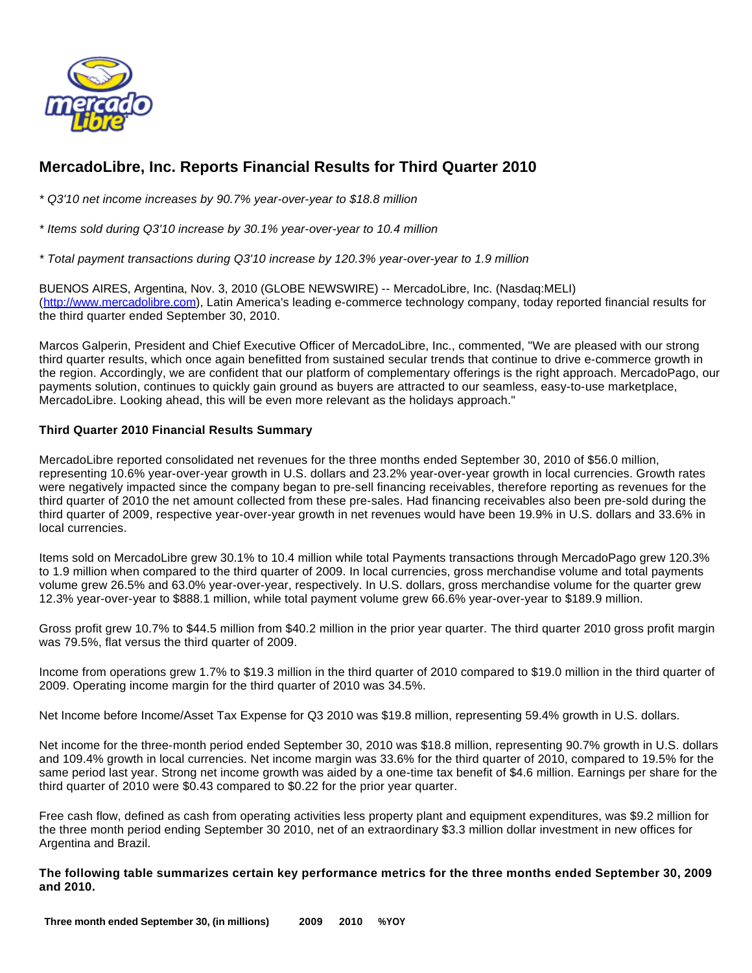

# **MercadoLibre, Inc. Reports Financial Results for Third Quarter 2010**

\* Q3'10 net income increases by 90.7% year-over-year to \$18.8 million

\* Items sold during Q3'10 increase by 30.1% year-over-year to 10.4 million

\* Total payment transactions during Q3'10 increase by 120.3% year-over-year to 1.9 million

BUENOS AIRES, Argentina, Nov. 3, 2010 (GLOBE NEWSWIRE) -- MercadoLibre, Inc. (Nasdaq:MELI) [\(http://www.mercadolibre.com\)](http://www.mercadolibre.com/), Latin America's leading e-commerce technology company, today reported financial results for the third quarter ended September 30, 2010.

Marcos Galperin, President and Chief Executive Officer of MercadoLibre, Inc., commented, "We are pleased with our strong third quarter results, which once again benefitted from sustained secular trends that continue to drive e-commerce growth in the region. Accordingly, we are confident that our platform of complementary offerings is the right approach. MercadoPago, our payments solution, continues to quickly gain ground as buyers are attracted to our seamless, easy-to-use marketplace, MercadoLibre. Looking ahead, this will be even more relevant as the holidays approach."

### **Third Quarter 2010 Financial Results Summary**

MercadoLibre reported consolidated net revenues for the three months ended September 30, 2010 of \$56.0 million, representing 10.6% year-over-year growth in U.S. dollars and 23.2% year-over-year growth in local currencies. Growth rates were negatively impacted since the company began to pre-sell financing receivables, therefore reporting as revenues for the third quarter of 2010 the net amount collected from these pre-sales. Had financing receivables also been pre-sold during the third quarter of 2009, respective year-over-year growth in net revenues would have been 19.9% in U.S. dollars and 33.6% in local currencies.

Items sold on MercadoLibre grew 30.1% to 10.4 million while total Payments transactions through MercadoPago grew 120.3% to 1.9 million when compared to the third quarter of 2009. In local currencies, gross merchandise volume and total payments volume grew 26.5% and 63.0% year-over-year, respectively. In U.S. dollars, gross merchandise volume for the quarter grew 12.3% year-over-year to \$888.1 million, while total payment volume grew 66.6% year-over-year to \$189.9 million.

Gross profit grew 10.7% to \$44.5 million from \$40.2 million in the prior year quarter. The third quarter 2010 gross profit margin was 79.5%, flat versus the third quarter of 2009.

Income from operations grew 1.7% to \$19.3 million in the third quarter of 2010 compared to \$19.0 million in the third quarter of 2009. Operating income margin for the third quarter of 2010 was 34.5%.

Net Income before Income/Asset Tax Expense for Q3 2010 was \$19.8 million, representing 59.4% growth in U.S. dollars.

Net income for the three-month period ended September 30, 2010 was \$18.8 million, representing 90.7% growth in U.S. dollars and 109.4% growth in local currencies. Net income margin was 33.6% for the third quarter of 2010, compared to 19.5% for the same period last year. Strong net income growth was aided by a one-time tax benefit of \$4.6 million. Earnings per share for the third quarter of 2010 were \$0.43 compared to \$0.22 for the prior year quarter.

Free cash flow, defined as cash from operating activities less property plant and equipment expenditures, was \$9.2 million for the three month period ending September 30 2010, net of an extraordinary \$3.3 million dollar investment in new offices for Argentina and Brazil.

**The following table summarizes certain key performance metrics for the three months ended September 30, 2009 and 2010.**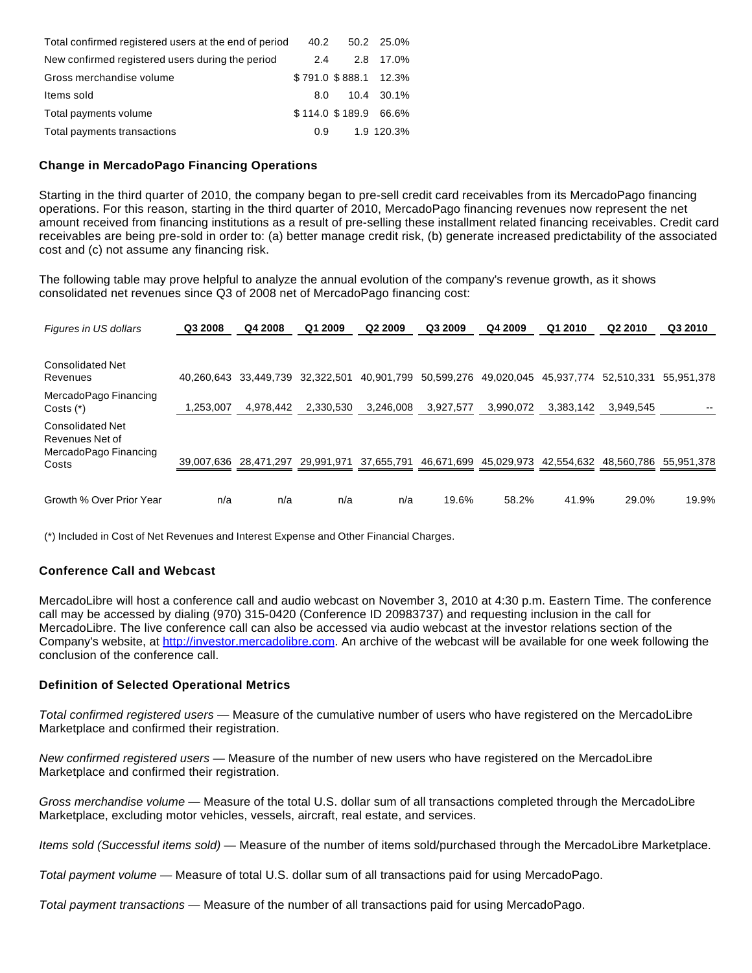| Total confirmed registered users at the end of period | 40.2 | 50.2 25.0%            |
|-------------------------------------------------------|------|-----------------------|
| New confirmed registered users during the period      | 2.4  | 2.8 17.0%             |
| Gross merchandise volume                              |      | \$791.0 \$888.1 12.3% |
| Items sold                                            | 8.0  | 10.4 30.1%            |
| Total payments volume                                 |      | \$114.0 \$189.9 66.6% |
| Total payments transactions                           | 0.9  | 1.9 120.3%            |

#### **Change in MercadoPago Financing Operations**

Starting in the third quarter of 2010, the company began to pre-sell credit card receivables from its MercadoPago financing operations. For this reason, starting in the third quarter of 2010, MercadoPago financing revenues now represent the net amount received from financing institutions as a result of pre-selling these installment related financing receivables. Credit card receivables are being pre-sold in order to: (a) better manage credit risk, (b) generate increased predictability of the associated cost and (c) not assume any financing risk.

The following table may prove helpful to analyze the annual evolution of the company's revenue growth, as it shows consolidated net revenues since Q3 of 2008 net of MercadoPago financing cost:

| Figures in US dollars                                                        | Q3 2008    | Q4 2008               | Q1 2009    | Q2 2009    | Q3 2009    | Q4 2009    | Q1 2010    | Q <sub>2</sub> 2010 | Q3 2010    |
|------------------------------------------------------------------------------|------------|-----------------------|------------|------------|------------|------------|------------|---------------------|------------|
| <b>Consolidated Net</b><br>Revenues                                          | 40.260.643 | 33.449.739            | 32.322.501 | 40,901,799 | 50,599,276 | 49,020,045 | 45,937,774 | 52.510.331          | 55.951.378 |
| MercadoPago Financing<br>Costs $(*)$                                         | 1.253.007  | 4.978.442             | 2.330.530  | 3.246.008  | 3.927.577  | 3.990.072  | 3.383.142  | 3.949.545           |            |
| <b>Consolidated Net</b><br>Revenues Net of<br>MercadoPago Financing<br>Costs |            | 39,007,636 28,471,297 | 29,991,971 | 37,655,791 | 46,671,699 | 45,029,973 | 42,554,632 | 48.560.786          | 55,951,378 |
| Growth % Over Prior Year                                                     | n/a        | n/a                   | n/a        | n/a        | 19.6%      | 58.2%      | 41.9%      | 29.0%               | 19.9%      |

(\*) Included in Cost of Net Revenues and Interest Expense and Other Financial Charges.

#### **Conference Call and Webcast**

MercadoLibre will host a conference call and audio webcast on November 3, 2010 at 4:30 p.m. Eastern Time. The conference call may be accessed by dialing (970) 315-0420 (Conference ID 20983737) and requesting inclusion in the call for MercadoLibre. The live conference call can also be accessed via audio webcast at the investor relations section of the Company's website, at [http://investor.mercadolibre.com.](http://investor.mercadolibre.com/) An archive of the webcast will be available for one week following the conclusion of the conference call.

#### **Definition of Selected Operational Metrics**

Total confirmed registered users — Measure of the cumulative number of users who have registered on the MercadoLibre Marketplace and confirmed their registration.

New confirmed registered users - Measure of the number of new users who have registered on the MercadoLibre Marketplace and confirmed their registration.

Gross merchandise volume — Measure of the total U.S. dollar sum of all transactions completed through the MercadoLibre Marketplace, excluding motor vehicles, vessels, aircraft, real estate, and services.

Items sold (Successful items sold) — Measure of the number of items sold/purchased through the MercadoLibre Marketplace.

Total payment volume — Measure of total U.S. dollar sum of all transactions paid for using MercadoPago.

Total payment transactions — Measure of the number of all transactions paid for using MercadoPago.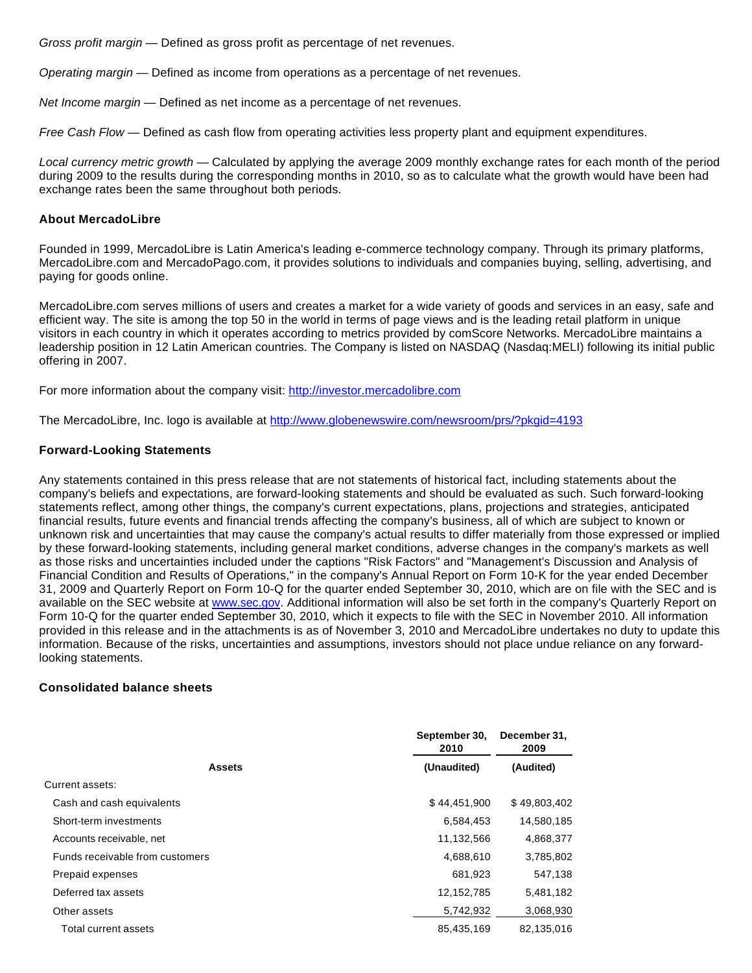Gross profit margin — Defined as gross profit as percentage of net revenues.

Operating margin — Defined as income from operations as a percentage of net revenues.

Net Income margin – Defined as net income as a percentage of net revenues.

Free Cash Flow — Defined as cash flow from operating activities less property plant and equipment expenditures.

Local currency metric growth — Calculated by applying the average 2009 monthly exchange rates for each month of the period during 2009 to the results during the corresponding months in 2010, so as to calculate what the growth would have been had exchange rates been the same throughout both periods.

#### **About MercadoLibre**

Founded in 1999, MercadoLibre is Latin America's leading e-commerce technology company. Through its primary platforms, MercadoLibre.com and MercadoPago.com, it provides solutions to individuals and companies buying, selling, advertising, and paying for goods online.

MercadoLibre.com serves millions of users and creates a market for a wide variety of goods and services in an easy, safe and efficient way. The site is among the top 50 in the world in terms of page views and is the leading retail platform in unique visitors in each country in which it operates according to metrics provided by comScore Networks. MercadoLibre maintains a leadership position in 12 Latin American countries. The Company is listed on NASDAQ (Nasdaq:MELI) following its initial public offering in 2007.

For more information about the company visit: [http://investor.mercadolibre.com](http://investor.mercadolibre.com/)

The MercadoLibre, Inc. logo is available at <http://www.globenewswire.com/newsroom/prs/?pkgid=4193>

#### **Forward-Looking Statements**

Any statements contained in this press release that are not statements of historical fact, including statements about the company's beliefs and expectations, are forward-looking statements and should be evaluated as such. Such forward-looking statements reflect, among other things, the company's current expectations, plans, projections and strategies, anticipated financial results, future events and financial trends affecting the company's business, all of which are subject to known or unknown risk and uncertainties that may cause the company's actual results to differ materially from those expressed or implied by these forward-looking statements, including general market conditions, adverse changes in the company's markets as well as those risks and uncertainties included under the captions "Risk Factors" and "Management's Discussion and Analysis of Financial Condition and Results of Operations," in the company's Annual Report on Form 10-K for the year ended December 31, 2009 and Quarterly Report on Form 10-Q for the quarter ended September 30, 2010, which are on file with the SEC and is available on the SEC website at [www.sec.gov](http://www.globenewswire.com/newsroom/ctr?d=205876&l=38&a=www.sec.gov&u=http%3A%2F%2Fwww.sec.gov). Additional information will also be set forth in the company's Quarterly Report on Form 10-Q for the quarter ended September 30, 2010, which it expects to file with the SEC in November 2010. All information provided in this release and in the attachments is as of November 3, 2010 and MercadoLibre undertakes no duty to update this information. Because of the risks, uncertainties and assumptions, investors should not place undue reliance on any forwardlooking statements.

#### **Consolidated balance sheets**

|                                 | September 30,<br>2010 | December 31,<br>2009 |
|---------------------------------|-----------------------|----------------------|
| <b>Assets</b>                   | (Unaudited)           | (Audited)            |
| Current assets:                 |                       |                      |
| Cash and cash equivalents       | \$44,451,900          | \$49,803,402         |
| Short-term investments          | 6,584,453             | 14,580,185           |
| Accounts receivable, net        | 11,132,566            | 4,868,377            |
| Funds receivable from customers | 4,688,610             | 3,785,802            |
| Prepaid expenses                | 681,923               | 547.138              |
| Deferred tax assets             | 12,152,785            | 5,481,182            |
| Other assets                    | 5,742,932             | 3,068,930            |
| Total current assets            | 85.435.169            | 82.135.016           |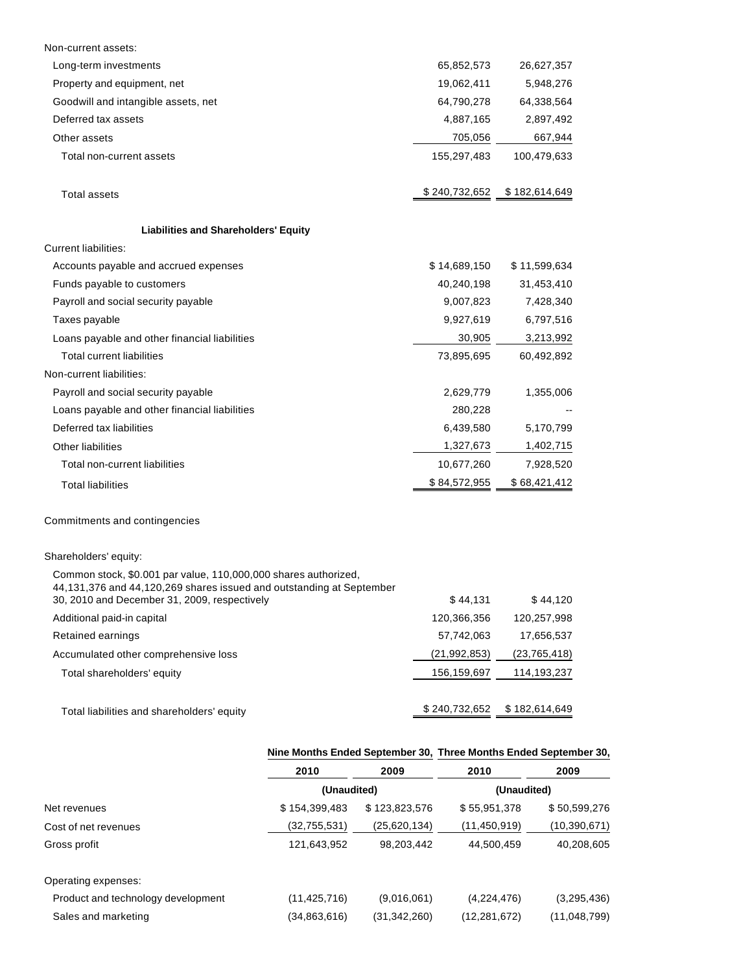| Non-current assets:                                                                                                                                                                     |                |                |
|-----------------------------------------------------------------------------------------------------------------------------------------------------------------------------------------|----------------|----------------|
| Long-term investments                                                                                                                                                                   | 65,852,573     | 26,627,357     |
| Property and equipment, net                                                                                                                                                             | 19,062,411     | 5,948,276      |
| Goodwill and intangible assets, net                                                                                                                                                     | 64,790,278     | 64,338,564     |
| Deferred tax assets                                                                                                                                                                     | 4,887,165      | 2,897,492      |
| Other assets                                                                                                                                                                            | 705,056        | 667,944        |
| Total non-current assets                                                                                                                                                                | 155,297,483    | 100,479,633    |
| <b>Total assets</b>                                                                                                                                                                     | \$240,732,652  | \$182,614,649  |
| <b>Liabilities and Shareholders' Equity</b>                                                                                                                                             |                |                |
| <b>Current liabilities:</b>                                                                                                                                                             |                |                |
| Accounts payable and accrued expenses                                                                                                                                                   | \$14,689,150   | \$11,599,634   |
| Funds payable to customers                                                                                                                                                              | 40,240,198     | 31,453,410     |
| Payroll and social security payable                                                                                                                                                     | 9,007,823      | 7,428,340      |
| Taxes payable                                                                                                                                                                           | 9,927,619      | 6,797,516      |
| Loans payable and other financial liabilities                                                                                                                                           | 30,905         | 3,213,992      |
| <b>Total current liabilities</b>                                                                                                                                                        | 73,895,695     | 60,492,892     |
| Non-current liabilities:                                                                                                                                                                |                |                |
| Payroll and social security payable                                                                                                                                                     | 2,629,779      | 1,355,006      |
| Loans payable and other financial liabilities                                                                                                                                           | 280,228        |                |
| Deferred tax liabilities                                                                                                                                                                | 6,439,580      | 5,170,799      |
| Other liabilities                                                                                                                                                                       | 1,327,673      | 1,402,715      |
| Total non-current liabilities                                                                                                                                                           | 10,677,260     | 7,928,520      |
| <b>Total liabilities</b>                                                                                                                                                                | \$84,572,955   | \$68,421,412   |
| Commitments and contingencies                                                                                                                                                           |                |                |
| Shareholders' equity:                                                                                                                                                                   |                |                |
| Common stock, \$0.001 par value, 110,000,000 shares authorized,<br>44,131,376 and 44,120,269 shares issued and outstanding at September<br>30, 2010 and December 31, 2009, respectively | \$44,131       | \$44,120       |
| Additional paid-in capital                                                                                                                                                              | 120,366,356    | 120,257,998    |
| Retained earnings                                                                                                                                                                       | 57,742,063     | 17,656,537     |
| Accumulated other comprehensive loss                                                                                                                                                    | (21, 992, 853) | (23, 765, 418) |
| Total shareholders' equity                                                                                                                                                              | 156,159,697    | 114,193,237    |
|                                                                                                                                                                                         |                |                |

Total liabilities and shareholders' equity **\$ 240,732,652** \$ 182,614,649

## **Nine Months Ended September 30, Three Months Ended September 30,**

|                                    | 2010           | 2009          | 2010           | 2009           |
|------------------------------------|----------------|---------------|----------------|----------------|
|                                    | (Unaudited)    |               | (Unaudited)    |                |
| Net revenues                       | \$154,399,483  | \$123,823,576 | \$55,951,378   | \$50,599,276   |
| Cost of net revenues               | (32,755,531)   | (25,620,134)  | (11,450,919)   | (10, 390, 671) |
| Gross profit                       | 121,643,952    | 98,203,442    | 44,500,459     | 40,208,605     |
| Operating expenses:                |                |               |                |                |
| Product and technology development | (11, 425, 716) | (9,016,061)   | (4,224,476)    | (3,295,436)    |
| Sales and marketing                | (34, 863, 616) | (31,342,260)  | (12, 281, 672) | (11,048,799)   |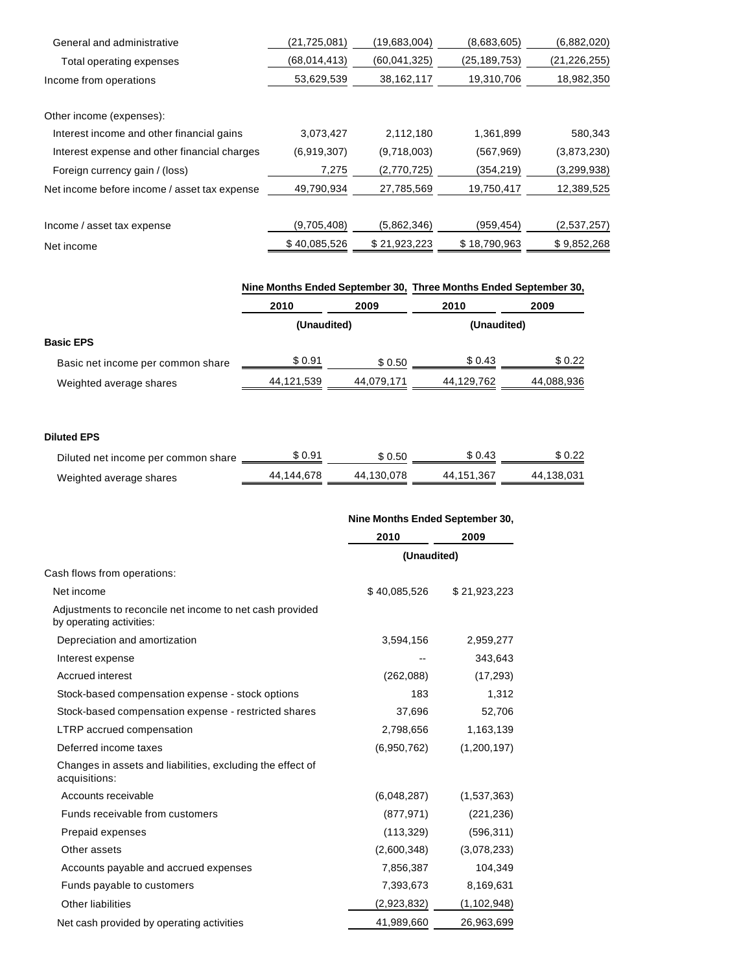| General and administrative                   | (21,725,081) | (19.683.004) | (8,683,605)    | (6,882,020)    |
|----------------------------------------------|--------------|--------------|----------------|----------------|
| Total operating expenses                     | (68,014,413) | (60,041,325) | (25, 189, 753) | (21, 226, 255) |
| Income from operations                       | 53,629,539   | 38,162,117   | 19,310,706     | 18,982,350     |
|                                              |              |              |                |                |
| Other income (expenses):                     |              |              |                |                |
| Interest income and other financial gains    | 3,073,427    | 2,112,180    | 1,361,899      | 580,343        |
| Interest expense and other financial charges | (6,919,307)  | (9,718,003)  | (567, 969)     | (3,873,230)    |
| Foreign currency gain / (loss)               | 7,275        | (2,770,725)  | (354,219)      | (3,299,938)    |
| Net income before income / asset tax expense | 49,790,934   | 27,785,569   | 19,750,417     | 12,389,525     |
|                                              |              |              |                |                |
| Income / asset tax expense                   | (9,705,408)  | (5,862,346)  | (959, 454)     | (2,537,257)    |
| Net income                                   | \$40,085,526 | \$21,923,223 | \$18,790,963   | \$9,852,268    |

|                                   | Nine Months Ended September 30, Three Months Ended September 30, |            |             |            |
|-----------------------------------|------------------------------------------------------------------|------------|-------------|------------|
|                                   | 2010                                                             | 2009       | 2010        | 2009       |
|                                   | (Unaudited)                                                      |            | (Unaudited) |            |
| <b>Basic EPS</b>                  |                                                                  |            |             |            |
| Basic net income per common share | \$0.91                                                           | \$ 0.50    | \$ 0.43     | \$0.22     |
| Weighted average shares           | 44,121,539                                                       | 44.079.171 | 44,129,762  | 44,088,936 |

#### **Diluted EPS**

| Diluted net income per common share | \$ 0.91    | \$0.50     | \$ 0.43    | \$0.22     |
|-------------------------------------|------------|------------|------------|------------|
| Weighted average shares             | 44.144.678 | 44.130.078 | 44.151.367 | 44.138.031 |

| Nine Months Ended September 30, |  |
|---------------------------------|--|
|---------------------------------|--|

|                                                                                      | 2010         | 2009          |
|--------------------------------------------------------------------------------------|--------------|---------------|
|                                                                                      | (Unaudited)  |               |
| Cash flows from operations:                                                          |              |               |
| Net income                                                                           | \$40,085,526 | \$21,923,223  |
| Adjustments to reconcile net income to net cash provided<br>by operating activities: |              |               |
| Depreciation and amortization                                                        | 3,594,156    | 2,959,277     |
| Interest expense                                                                     |              | 343,643       |
| Accrued interest                                                                     | (262,088)    | (17, 293)     |
| Stock-based compensation expense - stock options                                     | 183          | 1,312         |
| Stock-based compensation expense - restricted shares                                 | 37,696       | 52,706        |
| LTRP accrued compensation                                                            | 2,798,656    | 1,163,139     |
| Deferred income taxes                                                                | (6,950,762)  | (1,200,197)   |
| Changes in assets and liabilities, excluding the effect of<br>acquisitions:          |              |               |
| Accounts receivable                                                                  | (6,048,287)  | (1,537,363)   |
| Funds receivable from customers                                                      | (877, 971)   | (221, 236)    |
| Prepaid expenses                                                                     | (113, 329)   | (596, 311)    |
| Other assets                                                                         | (2,600,348)  | (3,078,233)   |
| Accounts payable and accrued expenses                                                | 7,856,387    | 104,349       |
| Funds payable to customers                                                           | 7,393,673    | 8,169,631     |
| Other liabilities                                                                    | (2,923,832)  | (1, 102, 948) |
| Net cash provided by operating activities                                            | 41,989,660   | 26,963,699    |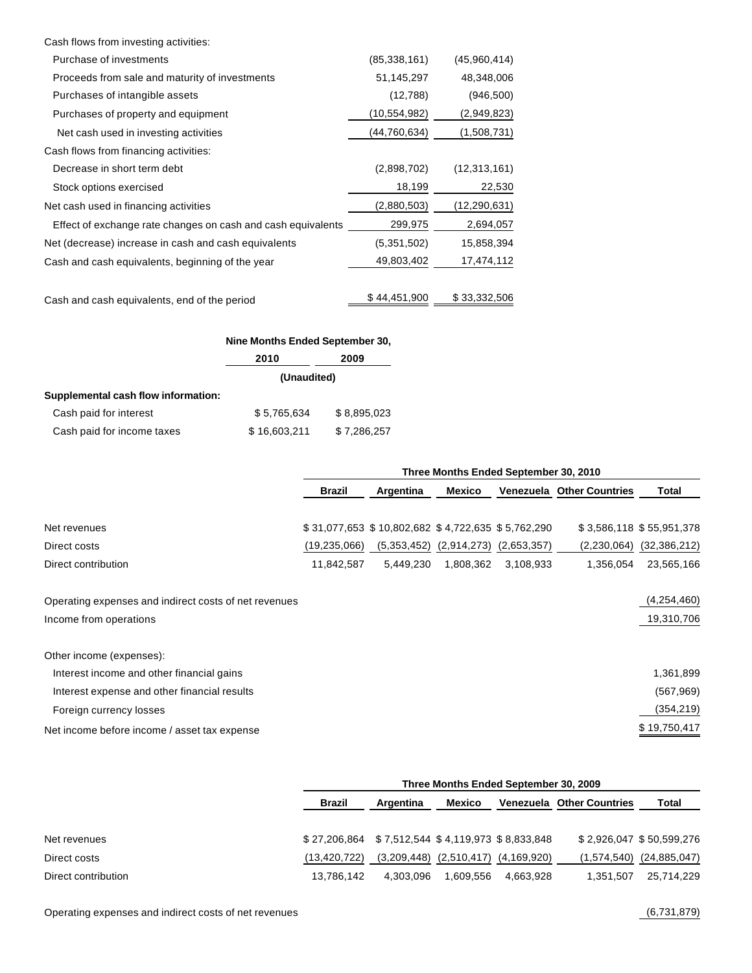| Cash flows from investing activities:                        |                |                |
|--------------------------------------------------------------|----------------|----------------|
| Purchase of investments                                      | (85, 338, 161) | (45,960,414)   |
| Proceeds from sale and maturity of investments               | 51,145,297     | 48,348,006     |
| Purchases of intangible assets                               | (12,788)       | (946,500)      |
| Purchases of property and equipment                          | (10, 554, 982) | (2,949,823)    |
| Net cash used in investing activities                        | (44, 760, 634) | (1,508,731)    |
| Cash flows from financing activities:                        |                |                |
| Decrease in short term debt                                  | (2,898,702)    | (12, 313, 161) |
| Stock options exercised                                      | 18,199         | 22,530         |
| Net cash used in financing activities                        | (2,880,503)    | (12,290,631)   |
| Effect of exchange rate changes on cash and cash equivalents | 299,975        | 2,694,057      |
| Net (decrease) increase in cash and cash equivalents         | (5,351,502)    | 15,858,394     |
| Cash and cash equivalents, beginning of the year             | 49,803,402     | 17,474,112     |
| Cash and cash equivalents, end of the period                 | \$44,451,900   | \$33,332,506   |
|                                                              |                |                |

|                                     | Nine Months Ended September 30, |             |  |
|-------------------------------------|---------------------------------|-------------|--|
|                                     | 2010                            | 2009        |  |
|                                     | (Unaudited)                     |             |  |
| Supplemental cash flow information: |                                 |             |  |
| Cash paid for interest              | \$5,765,634                     | \$8,895,023 |  |
| Cash paid for income taxes          | \$16,603,211                    | \$7,286,257 |  |

|                                                       | Three Months Ended September 30, 2010 |                                                   |                             |             |                                  |                          |
|-------------------------------------------------------|---------------------------------------|---------------------------------------------------|-----------------------------|-------------|----------------------------------|--------------------------|
|                                                       | <b>Brazil</b>                         | Argentina                                         | Mexico                      |             | <b>Venezuela Other Countries</b> | Total                    |
|                                                       |                                       |                                                   |                             |             |                                  |                          |
| Net revenues                                          |                                       | \$31,077,653 \$10,802,682 \$4,722,635 \$5,762,290 |                             |             |                                  | \$3,586,118 \$55,951,378 |
| Direct costs                                          | (19, 235, 066)                        |                                                   | $(5,353,452)$ $(2,914,273)$ | (2,653,357) | (2,230,064)                      | (32, 386, 212)           |
| Direct contribution                                   | 11,842,587                            | 5,449,230                                         | 1,808,362                   | 3,108,933   | 1,356,054                        | 23,565,166               |
| Operating expenses and indirect costs of net revenues |                                       |                                                   |                             |             |                                  | (4,254,460)              |
| Income from operations                                |                                       |                                                   |                             |             |                                  | 19,310,706               |
| Other income (expenses):                              |                                       |                                                   |                             |             |                                  |                          |
| Interest income and other financial gains             |                                       |                                                   |                             |             |                                  | 1,361,899                |
| Interest expense and other financial results          |                                       |                                                   |                             |             |                                  | (567, 969)               |
| Foreign currency losses                               |                                       |                                                   |                             |             |                                  | (354,219)                |
| Net income before income / asset tax expense          |                                       |                                                   |                             |             |                                  | \$19,750,417             |

|                     |                                                  | Three Months Ended September 30, 2009 |                             |           |                                  |                          |  |
|---------------------|--------------------------------------------------|---------------------------------------|-----------------------------|-----------|----------------------------------|--------------------------|--|
|                     | Brazil                                           | Argentina                             | Mexico                      |           | <b>Venezuela Other Countries</b> | Total                    |  |
| Net revenues        | \$27,206,864 \$7,512,544 \$4,119,973 \$8,833,848 |                                       |                             |           |                                  | \$2,926,047 \$50,599,276 |  |
| Direct costs        | (13.420.722)                                     | (3,209,448)                           | $(2,510,417)$ $(4,169,920)$ |           | (1,574,540)                      | (24, 885, 047)           |  |
| Direct contribution | 13.786.142                                       | 4.303.096                             | 1.609.556                   | 4.663.928 | 1.351.507                        | 25.714.229               |  |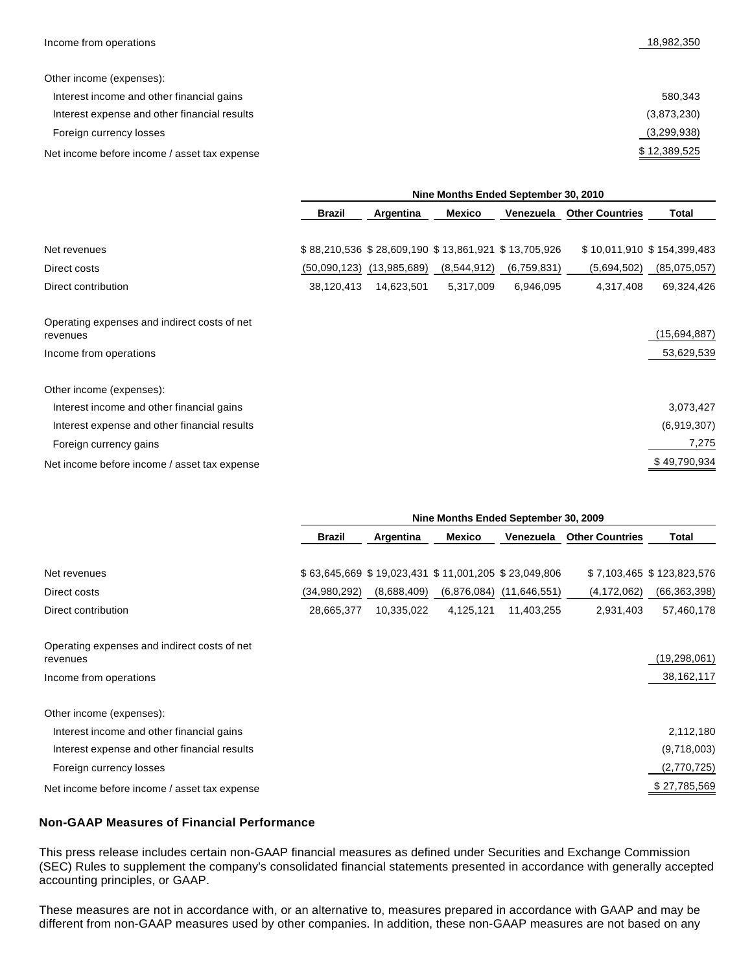Other income (expenses):

| Interest income and other financial gains    | 580.343      |
|----------------------------------------------|--------------|
| Interest expense and other financial results | (3,873,230)  |
| Foreign currency losses                      | (3,299,938)  |
| Net income before income / asset tax expense | \$12,389,525 |

|                                                          | Nine Months Ended September 30, 2010 |                                                     |             |             |                        |                            |
|----------------------------------------------------------|--------------------------------------|-----------------------------------------------------|-------------|-------------|------------------------|----------------------------|
|                                                          | <b>Brazil</b>                        | Argentina                                           | Mexico      | Venezuela   | <b>Other Countries</b> | Total                      |
| Net revenues                                             |                                      | \$88,210,536 \$28,609,190 \$13,861,921 \$13,705,926 |             |             |                        | \$10,011,910 \$154,399,483 |
| Direct costs                                             | (50,090,123)                         | (13,985,689)                                        | (8,544,912) | (6,759,831) | (5,694,502)            | (85,075,057)               |
| Direct contribution                                      | 38,120,413                           | 14,623,501                                          | 5,317,009   | 6,946,095   | 4,317,408              | 69,324,426                 |
| Operating expenses and indirect costs of net<br>revenues |                                      |                                                     |             |             |                        | (15,694,887)               |
| Income from operations                                   |                                      |                                                     |             |             |                        | 53,629,539                 |
| Other income (expenses):                                 |                                      |                                                     |             |             |                        |                            |
| Interest income and other financial gains                |                                      |                                                     |             |             |                        | 3,073,427                  |
| Interest expense and other financial results             |                                      |                                                     |             |             |                        | (6,919,307)                |
| Foreign currency gains                                   |                                      |                                                     |             |             |                        | 7,275                      |
| Net income before income / asset tax expense             |                                      |                                                     |             |             |                        | \$49,790,934               |

|                                                          | Nine Months Ended September 30, 2009 |             |           |                                                     |                        |                           |
|----------------------------------------------------------|--------------------------------------|-------------|-----------|-----------------------------------------------------|------------------------|---------------------------|
|                                                          | <b>Brazil</b>                        | Argentina   | Mexico    | Venezuela                                           | <b>Other Countries</b> | Total                     |
| Net revenues                                             |                                      |             |           | \$63,645,669 \$19,023,431 \$11,001,205 \$23,049,806 |                        | \$7,103,465 \$123,823,576 |
| Direct costs                                             | (34,980,292)                         | (8,688,409) |           | $(6,876,084)$ $(11,646,551)$                        | (4,172,062)            | (66, 363, 398)            |
| Direct contribution                                      | 28,665,377                           | 10,335,022  | 4,125,121 | 11,403,255                                          | 2,931,403              | 57,460,178                |
| Operating expenses and indirect costs of net<br>revenues |                                      |             |           |                                                     |                        | (19, 298, 061)            |
| Income from operations                                   |                                      |             |           |                                                     |                        | 38, 162, 117              |
| Other income (expenses):                                 |                                      |             |           |                                                     |                        |                           |
| Interest income and other financial gains                |                                      |             |           |                                                     |                        | 2,112,180                 |
| Interest expense and other financial results             |                                      |             |           |                                                     |                        | (9,718,003)               |
| Foreign currency losses                                  |                                      |             |           |                                                     |                        | (2,770,725)               |
| Net income before income / asset tax expense             |                                      |             |           |                                                     |                        | \$27,785,569              |

#### **Non-GAAP Measures of Financial Performance**

This press release includes certain non-GAAP financial measures as defined under Securities and Exchange Commission (SEC) Rules to supplement the company's consolidated financial statements presented in accordance with generally accepted accounting principles, or GAAP.

These measures are not in accordance with, or an alternative to, measures prepared in accordance with GAAP and may be different from non-GAAP measures used by other companies. In addition, these non-GAAP measures are not based on any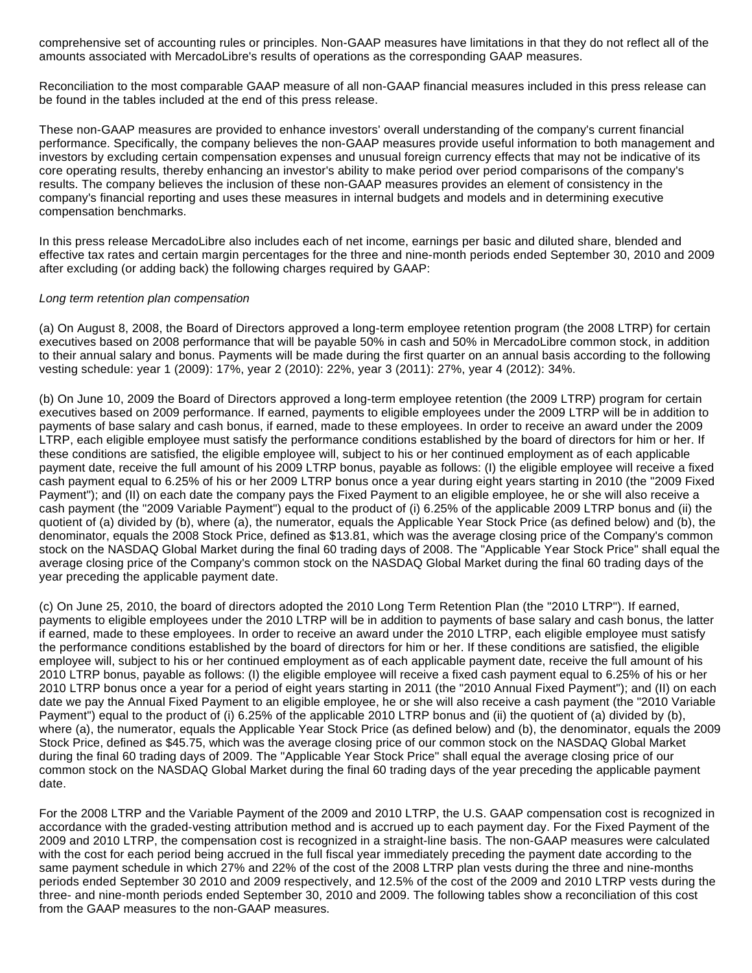comprehensive set of accounting rules or principles. Non-GAAP measures have limitations in that they do not reflect all of the amounts associated with MercadoLibre's results of operations as the corresponding GAAP measures.

Reconciliation to the most comparable GAAP measure of all non-GAAP financial measures included in this press release can be found in the tables included at the end of this press release.

These non-GAAP measures are provided to enhance investors' overall understanding of the company's current financial performance. Specifically, the company believes the non-GAAP measures provide useful information to both management and investors by excluding certain compensation expenses and unusual foreign currency effects that may not be indicative of its core operating results, thereby enhancing an investor's ability to make period over period comparisons of the company's results. The company believes the inclusion of these non-GAAP measures provides an element of consistency in the company's financial reporting and uses these measures in internal budgets and models and in determining executive compensation benchmarks.

In this press release MercadoLibre also includes each of net income, earnings per basic and diluted share, blended and effective tax rates and certain margin percentages for the three and nine-month periods ended September 30, 2010 and 2009 after excluding (or adding back) the following charges required by GAAP:

#### Long term retention plan compensation

(a) On August 8, 2008, the Board of Directors approved a long-term employee retention program (the 2008 LTRP) for certain executives based on 2008 performance that will be payable 50% in cash and 50% in MercadoLibre common stock, in addition to their annual salary and bonus. Payments will be made during the first quarter on an annual basis according to the following vesting schedule: year 1 (2009): 17%, year 2 (2010): 22%, year 3 (2011): 27%, year 4 (2012): 34%.

(b) On June 10, 2009 the Board of Directors approved a long-term employee retention (the 2009 LTRP) program for certain executives based on 2009 performance. If earned, payments to eligible employees under the 2009 LTRP will be in addition to payments of base salary and cash bonus, if earned, made to these employees. In order to receive an award under the 2009 LTRP, each eligible employee must satisfy the performance conditions established by the board of directors for him or her. If these conditions are satisfied, the eligible employee will, subject to his or her continued employment as of each applicable payment date, receive the full amount of his 2009 LTRP bonus, payable as follows: (I) the eligible employee will receive a fixed cash payment equal to 6.25% of his or her 2009 LTRP bonus once a year during eight years starting in 2010 (the "2009 Fixed Payment"); and (II) on each date the company pays the Fixed Payment to an eligible employee, he or she will also receive a cash payment (the "2009 Variable Payment") equal to the product of (i) 6.25% of the applicable 2009 LTRP bonus and (ii) the quotient of (a) divided by (b), where (a), the numerator, equals the Applicable Year Stock Price (as defined below) and (b), the denominator, equals the 2008 Stock Price, defined as \$13.81, which was the average closing price of the Company's common stock on the NASDAQ Global Market during the final 60 trading days of 2008. The "Applicable Year Stock Price" shall equal the average closing price of the Company's common stock on the NASDAQ Global Market during the final 60 trading days of the year preceding the applicable payment date.

(c) On June 25, 2010, the board of directors adopted the 2010 Long Term Retention Plan (the "2010 LTRP"). If earned, payments to eligible employees under the 2010 LTRP will be in addition to payments of base salary and cash bonus, the latter if earned, made to these employees. In order to receive an award under the 2010 LTRP, each eligible employee must satisfy the performance conditions established by the board of directors for him or her. If these conditions are satisfied, the eligible employee will, subject to his or her continued employment as of each applicable payment date, receive the full amount of his 2010 LTRP bonus, payable as follows: (I) the eligible employee will receive a fixed cash payment equal to 6.25% of his or her 2010 LTRP bonus once a year for a period of eight years starting in 2011 (the "2010 Annual Fixed Payment"); and (II) on each date we pay the Annual Fixed Payment to an eligible employee, he or she will also receive a cash payment (the "2010 Variable Payment") equal to the product of (i) 6.25% of the applicable 2010 LTRP bonus and (ii) the quotient of (a) divided by (b), where (a), the numerator, equals the Applicable Year Stock Price (as defined below) and (b), the denominator, equals the 2009 Stock Price, defined as \$45.75, which was the average closing price of our common stock on the NASDAQ Global Market during the final 60 trading days of 2009. The "Applicable Year Stock Price" shall equal the average closing price of our common stock on the NASDAQ Global Market during the final 60 trading days of the year preceding the applicable payment date.

For the 2008 LTRP and the Variable Payment of the 2009 and 2010 LTRP, the U.S. GAAP compensation cost is recognized in accordance with the graded-vesting attribution method and is accrued up to each payment day. For the Fixed Payment of the 2009 and 2010 LTRP, the compensation cost is recognized in a straight-line basis. The non-GAAP measures were calculated with the cost for each period being accrued in the full fiscal year immediately preceding the payment date according to the same payment schedule in which 27% and 22% of the cost of the 2008 LTRP plan vests during the three and nine-months periods ended September 30 2010 and 2009 respectively, and 12.5% of the cost of the 2009 and 2010 LTRP vests during the three- and nine-month periods ended September 30, 2010 and 2009. The following tables show a reconciliation of this cost from the GAAP measures to the non-GAAP measures.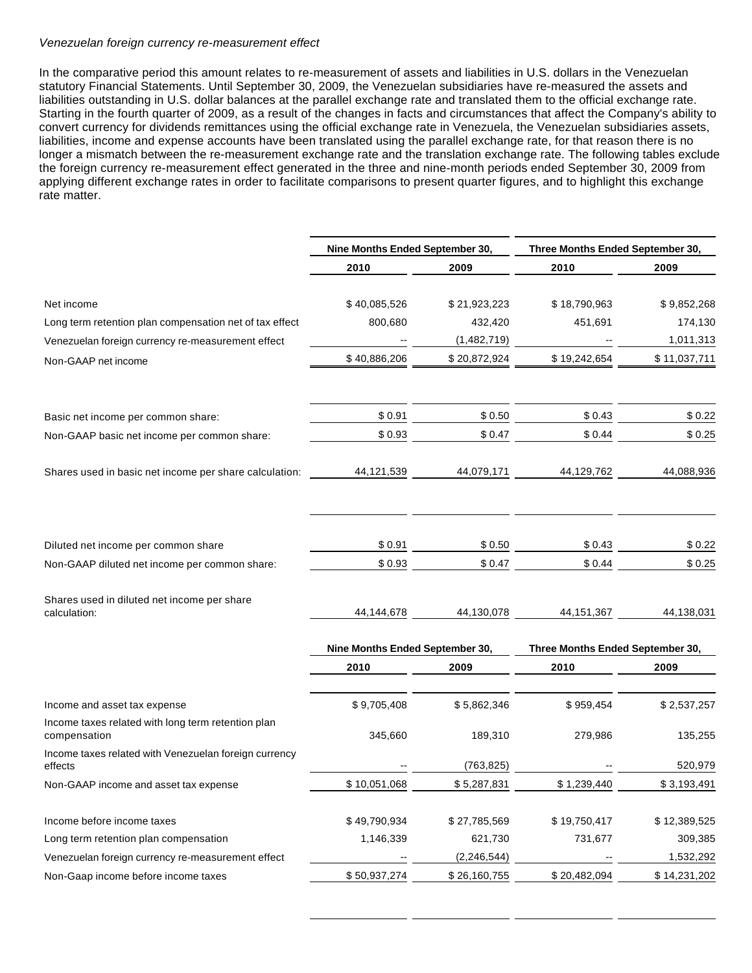#### Venezuelan foreign currency re-measurement effect

In the comparative period this amount relates to re-measurement of assets and liabilities in U.S. dollars in the Venezuelan statutory Financial Statements. Until September 30, 2009, the Venezuelan subsidiaries have re-measured the assets and liabilities outstanding in U.S. dollar balances at the parallel exchange rate and translated them to the official exchange rate. Starting in the fourth quarter of 2009, as a result of the changes in facts and circumstances that affect the Company's ability to convert currency for dividends remittances using the official exchange rate in Venezuela, the Venezuelan subsidiaries assets, liabilities, income and expense accounts have been translated using the parallel exchange rate, for that reason there is no longer a mismatch between the re-measurement exchange rate and the translation exchange rate. The following tables exclude the foreign currency re-measurement effect generated in the three and nine-month periods ended September 30, 2009 from applying different exchange rates in order to facilitate comparisons to present quarter figures, and to highlight this exchange rate matter.

|                                                                    | Nine Months Ended September 30, |               | Three Months Ended September 30, |              |  |
|--------------------------------------------------------------------|---------------------------------|---------------|----------------------------------|--------------|--|
|                                                                    | 2010                            | 2009          | 2010                             | 2009         |  |
| Net income                                                         | \$40,085,526                    | \$21,923,223  | \$18,790,963                     | \$9,852,268  |  |
| Long term retention plan compensation net of tax effect            | 800,680                         | 432,420       | 451,691                          | 174,130      |  |
| Venezuelan foreign currency re-measurement effect                  |                                 | (1,482,719)   |                                  | 1,011,313    |  |
| Non-GAAP net income                                                | \$40,886,206                    | \$20,872,924  | \$19,242,654                     | \$11,037,711 |  |
| Basic net income per common share:                                 | \$0.91                          | \$0.50        | \$0.43                           | \$0.22       |  |
| Non-GAAP basic net income per common share:                        | \$0.93                          | \$0.47        | \$0.44                           | \$0.25       |  |
| Shares used in basic net income per share calculation:             | 44,121,539                      | 44,079,171    | 44,129,762                       | 44,088,936   |  |
|                                                                    |                                 |               |                                  |              |  |
| Diluted net income per common share                                | \$0.91                          | \$0.50        | \$0.43                           | \$0.22       |  |
| Non-GAAP diluted net income per common share:                      | \$0.93                          | \$0.47        | \$0.44                           | \$0.25       |  |
| Shares used in diluted net income per share<br>calculation:        | 44,144,678                      | 44,130,078    | 44, 151, 367                     | 44,138,031   |  |
|                                                                    | Nine Months Ended September 30, |               | Three Months Ended September 30, |              |  |
|                                                                    | 2010                            | 2009          | 2010                             | 2009         |  |
| Income and asset tax expense                                       | \$9,705,408                     | \$5,862,346   | \$959,454                        | \$2,537,257  |  |
| Income taxes related with long term retention plan<br>compensation | 345,660                         | 189,310       | 279,986                          | 135,255      |  |
| Income taxes related with Venezuelan foreign currency<br>effects   |                                 | (763, 825)    |                                  | 520,979      |  |
| Non-GAAP income and asset tax expense                              | \$10.051.068                    | \$5.287.831   | \$1.239.440                      | \$3.193.491  |  |
| Income before income taxes                                         | \$49,790,934                    | \$27,785,569  | \$19,750,417                     | \$12,389,525 |  |
| Long term retention plan compensation                              | 1,146,339                       | 621,730       | 731,677                          | 309,385      |  |
| Venezuelan foreign currency re-measurement effect                  |                                 | (2, 246, 544) |                                  | 1,532,292    |  |
| Non-Gaap income before income taxes                                | \$50,937,274                    | \$26,160,755  | \$20,482,094                     | \$14,231,202 |  |